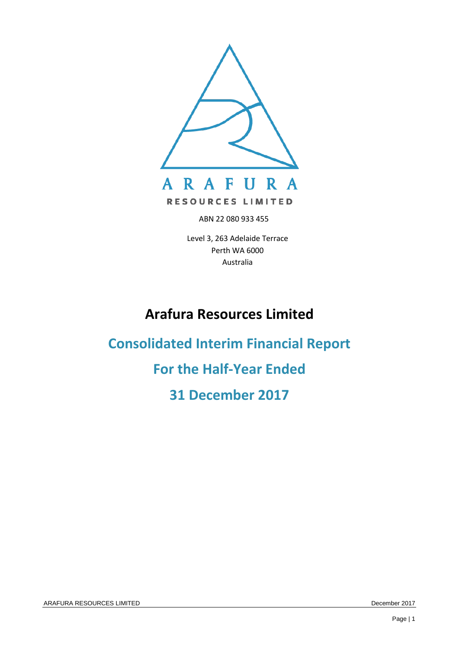

ABN 22 080 933 455

Level 3, 263 Adelaide Terrace Perth WA 6000 Australia

# **Arafura Resources Limited**

**Consolidated Interim Financial Report For the Half-Year Ended 31 December 2017**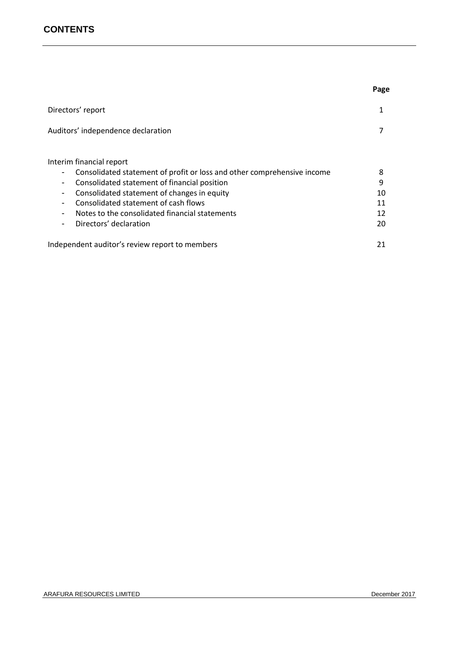# **CONTENTS**

|                                                                                                                                                                                                                                                                                                                                                                                | Page                           |
|--------------------------------------------------------------------------------------------------------------------------------------------------------------------------------------------------------------------------------------------------------------------------------------------------------------------------------------------------------------------------------|--------------------------------|
| Directors' report                                                                                                                                                                                                                                                                                                                                                              |                                |
| Auditors' independence declaration                                                                                                                                                                                                                                                                                                                                             |                                |
| Interim financial report<br>Consolidated statement of profit or loss and other comprehensive income<br>Consolidated statement of financial position<br>$\overline{\phantom{a}}$<br>Consolidated statement of changes in equity<br>$\overline{\phantom{a}}$<br>Consolidated statement of cash flows<br>Notes to the consolidated financial statements<br>Directors' declaration | 8<br>9<br>10<br>11<br>12<br>20 |
| Independent auditor's review report to members                                                                                                                                                                                                                                                                                                                                 | 21                             |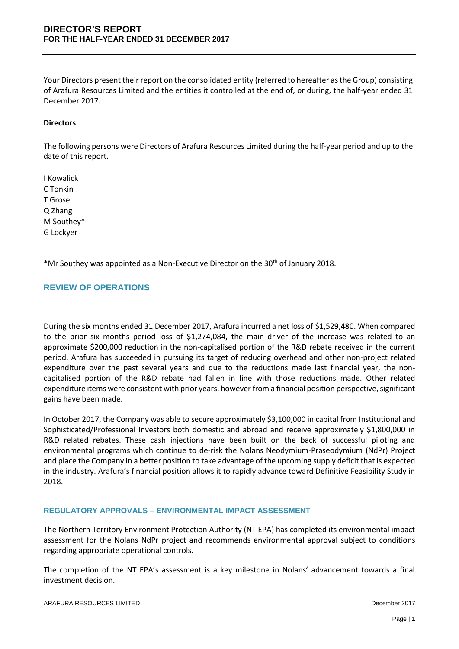Your Directors present their report on the consolidated entity (referred to hereafter as the Group) consisting of Arafura Resources Limited and the entities it controlled at the end of, or during, the half-year ended 31 December 2017.

## **Directors**

The following persons were Directors of Arafura Resources Limited during the half-year period and up to the date of this report.

I Kowalick C Tonkin T Grose Q Zhang M Southey\* G Lockyer

\*Mr Southey was appointed as a Non-Executive Director on the  $30<sup>th</sup>$  of January 2018.

## **REVIEW OF OPERATIONS**

During the six months ended 31 December 2017, Arafura incurred a net loss of \$1,529,480. When compared to the prior six months period loss of \$1,274,084, the main driver of the increase was related to an approximate \$200,000 reduction in the non-capitalised portion of the R&D rebate received in the current period. Arafura has succeeded in pursuing its target of reducing overhead and other non-project related expenditure over the past several years and due to the reductions made last financial year, the noncapitalised portion of the R&D rebate had fallen in line with those reductions made. Other related expenditure items were consistent with prior years, however from a financial position perspective, significant gains have been made.

In October 2017, the Company was able to secure approximately \$3,100,000 in capital from Institutional and Sophisticated/Professional Investors both domestic and abroad and receive approximately \$1,800,000 in R&D related rebates. These cash injections have been built on the back of successful piloting and environmental programs which continue to de-risk the Nolans Neodymium-Praseodymium (NdPr) Project and place the Company in a better position to take advantage of the upcoming supply deficit that is expected in the industry. Arafura's financial position allows it to rapidly advance toward Definitive Feasibility Study in 2018.

#### **REGULATORY APPROVALS – ENVIRONMENTAL IMPACT ASSESSMENT**

The Northern Territory Environment Protection Authority (NT EPA) has completed its environmental impact assessment for the Nolans NdPr project and recommends environmental approval subject to conditions regarding appropriate operational controls.

The completion of the NT EPA's assessment is a key milestone in Nolans' advancement towards a final investment decision.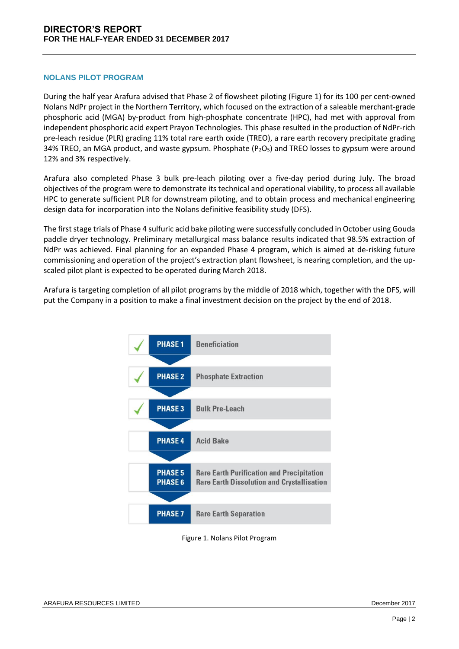#### **NOLANS PILOT PROGRAM**

During the half year Arafura advised that Phase 2 of flowsheet piloting (Figure 1) for its 100 per cent-owned Nolans NdPr project in the Northern Territory, which focused on the extraction of a saleable merchant-grade phosphoric acid (MGA) by-product from high-phosphate concentrate (HPC), had met with approval from independent phosphoric acid expert Prayon Technologies. This phase resulted in the production of NdPr-rich pre-leach residue (PLR) grading 11% total rare earth oxide (TREO), a rare earth recovery precipitate grading 34% TREO, an MGA product, and waste gypsum. Phosphate ( $P_2O_5$ ) and TREO losses to gypsum were around 12% and 3% respectively.

Arafura also completed Phase 3 bulk pre-leach piloting over a five-day period during July. The broad objectives of the program were to demonstrate its technical and operational viability, to process all available HPC to generate sufficient PLR for downstream piloting, and to obtain process and mechanical engineering design data for incorporation into the Nolans definitive feasibility study (DFS).

The first stage trials of Phase 4 sulfuric acid bake piloting were successfully concluded in October using Gouda paddle dryer technology. Preliminary metallurgical mass balance results indicated that 98.5% extraction of NdPr was achieved. Final planning for an expanded Phase 4 program, which is aimed at de-risking future commissioning and operation of the project's extraction plant flowsheet, is nearing completion, and the upscaled pilot plant is expected to be operated during March 2018.

Arafura is targeting completion of all pilot programs by the middle of 2018 which, together with the DFS, will put the Company in a position to make a final investment decision on the project by the end of 2018.



Figure 1. Nolans Pilot Program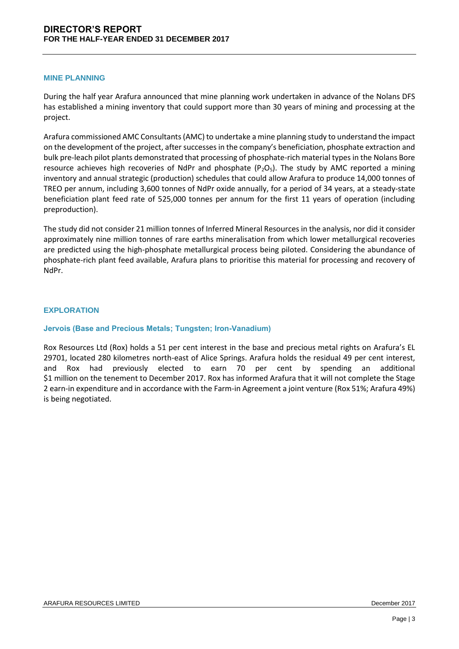#### **MINE PLANNING**

During the half year Arafura announced that mine planning work undertaken in advance of the Nolans DFS has established a mining inventory that could support more than 30 years of mining and processing at the project.

Arafura commissioned AMC Consultants (AMC) to undertake a mine planning study to understand the impact on the development of the project, after successes in the company's beneficiation, phosphate extraction and bulk pre-leach pilot plants demonstrated that processing of phosphate-rich material types in the Nolans Bore resource achieves high recoveries of NdPr and phosphate ( $P_2O_5$ ). The study by AMC reported a mining inventory and annual strategic (production) schedules that could allow Arafura to produce 14,000 tonnes of TREO per annum, including 3,600 tonnes of NdPr oxide annually, for a period of 34 years, at a steady-state beneficiation plant feed rate of 525,000 tonnes per annum for the first 11 years of operation (including preproduction).

The study did not consider 21 million tonnes of Inferred Mineral Resources in the analysis, nor did it consider approximately nine million tonnes of rare earths mineralisation from which lower metallurgical recoveries are predicted using the high-phosphate metallurgical process being piloted. Considering the abundance of phosphate-rich plant feed available, Arafura plans to prioritise this material for processing and recovery of NdPr.

## **EXPLORATION**

## **Jervois (Base and Precious Metals; Tungsten; Iron-Vanadium)**

Rox Resources Ltd (Rox) holds a 51 per cent interest in the base and precious metal rights on Arafura's EL 29701, located 280 kilometres north-east of Alice Springs. Arafura holds the residual 49 per cent interest, and Rox had previously elected to earn 70 per cent by spending an additional \$1 million on the tenement to December 2017. Rox has informed Arafura that it will not complete the Stage 2 earn-in expenditure and in accordance with the Farm-in Agreement a joint venture (Rox 51%; Arafura 49%) is being negotiated.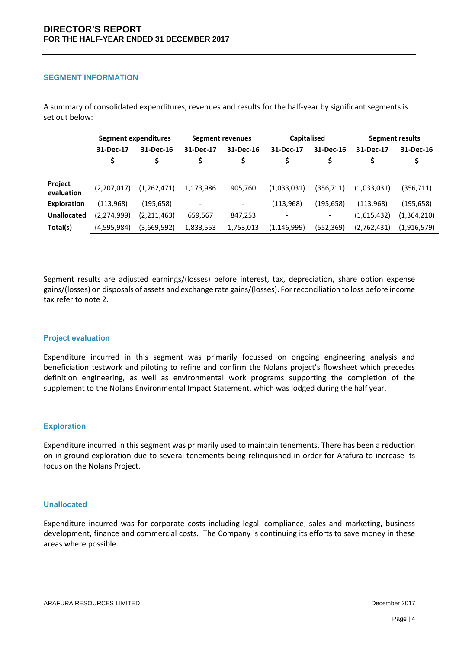#### **SEGMENT INFORMATION**

|                       | Segment expenditures |             | Segment revenues |                 | <b>Capitalised</b>       |                          | Segment results |                 |
|-----------------------|----------------------|-------------|------------------|-----------------|--------------------------|--------------------------|-----------------|-----------------|
|                       | 31-Dec-17<br>\$      | 31-Dec-16   | 31-Dec-17<br>\$  | 31-Dec-16       | 31-Dec-17<br>\$          | 31-Dec-16                | 31-Dec-17       | 31-Dec-16<br>\$ |
| Project<br>evaluation | (2,207,017)          | (1,262,471) | 1,173,986        | 905,760         | (1,033,031)              | (356,711)                | (1,033,031)     | (356, 711)      |
| <b>Exploration</b>    | (113, 968)           | (195, 658)  | -                | $\qquad \qquad$ | (113,968)                | (195, 658)               | (113, 968)      | (195, 658)      |
| <b>Unallocated</b>    | (2, 274, 999)        | (2,211,463) | 659,567          | 847,253         | $\overline{\phantom{a}}$ | $\overline{\phantom{a}}$ | (1,615,432)     | (1,364,210)     |
| Total(s)              | (4,595,984)          | (3,669,592) | 1,833,553        | 1,753,013       | (1, 146, 999)            | (552,369)                | (2,762,431)     | (1,916,579)     |

A summary of consolidated expenditures, revenues and results for the half-year by significant segments is set out below:

Segment results are adjusted earnings/(losses) before interest, tax, depreciation, share option expense gains/(losses) on disposals of assets and exchange rate gains/(losses). For reconciliation to loss before income tax refer to note 2.

#### **Project evaluation**

Expenditure incurred in this segment was primarily focussed on ongoing engineering analysis and beneficiation testwork and piloting to refine and confirm the Nolans project's flowsheet which precedes definition engineering, as well as environmental work programs supporting the completion of the supplement to the Nolans Environmental Impact Statement, which was lodged during the half year.

#### **Exploration**

Expenditure incurred in this segment was primarily used to maintain tenements. There has been a reduction on in-ground exploration due to several tenements being relinquished in order for Arafura to increase its focus on the Nolans Project.

#### **Unallocated**

Expenditure incurred was for corporate costs including legal, compliance, sales and marketing, business development, finance and commercial costs. The Company is continuing its efforts to save money in these areas where possible.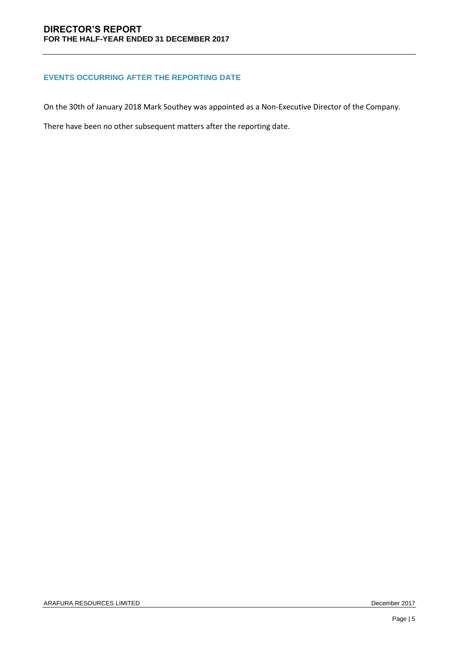## **EVENTS OCCURRING AFTER THE REPORTING DATE**

On the 30th of January 2018 Mark Southey was appointed as a Non-Executive Director of the Company.

There have been no other subsequent matters after the reporting date.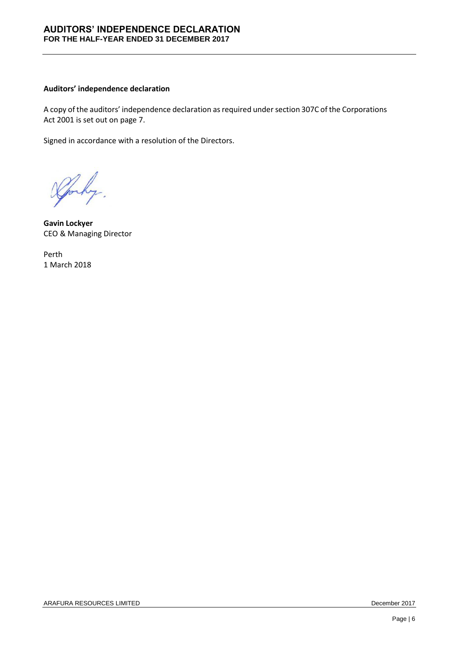## **AUDITORS' INDEPENDENCE DECLARATION FOR THE HALF-YEAR ENDED 31 DECEMBER 2017**

#### **Auditors' independence declaration**

A copy of the auditors' independence declaration as required under section 307C of the Corporations Act 2001 is set out on page 7.

Signed in accordance with a resolution of the Directors.

why.

**Gavin Lockyer** CEO & Managing Director

Perth 1 March 2018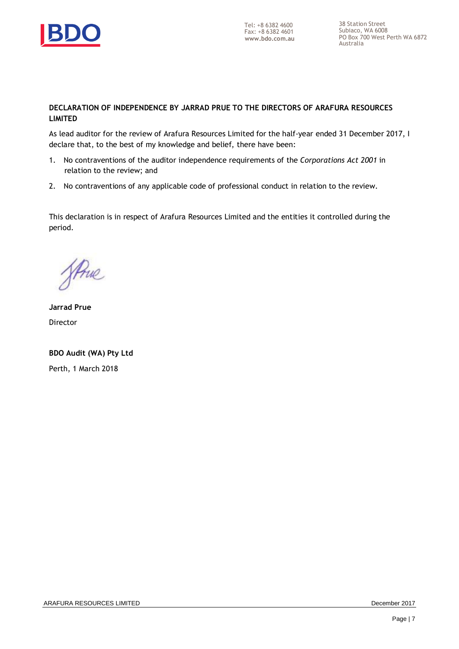

## **DECLARATION OF INDEPENDENCE BY JARRAD PRUE TO THE DIRECTORS OF ARAFURA RESOURCES LIMITED**

As lead auditor for the review of Arafura Resources Limited for the half-year ended 31 December 2017, I declare that, to the best of my knowledge and belief, there have been:

- 1. No contraventions of the auditor independence requirements of the *Corporations Act 2001* in relation to the review; and
- 2. No contraventions of any applicable code of professional conduct in relation to the review.

This declaration is in respect of Arafura Resources Limited and the entities it controlled during the period.

Strue

**Jarrad Prue** Director

**BDO Audit (WA) Pty Ltd** Perth, 1 March 2018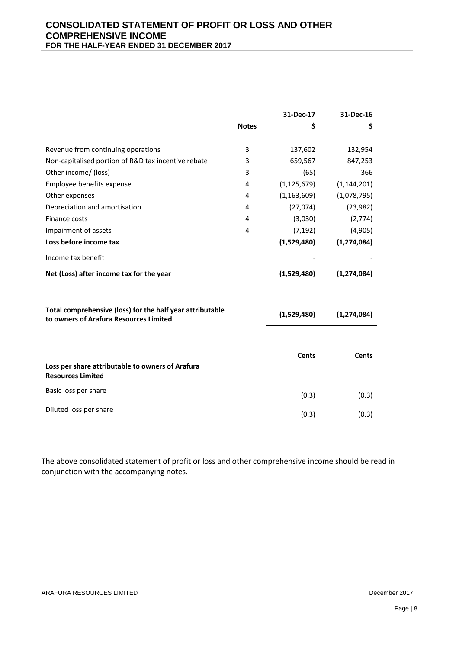|                                                                                                     |              | 31-Dec-17     | 31-Dec-16     |
|-----------------------------------------------------------------------------------------------------|--------------|---------------|---------------|
|                                                                                                     | <b>Notes</b> | \$            | \$            |
| Revenue from continuing operations                                                                  | 3            | 137,602       | 132,954       |
| Non-capitalised portion of R&D tax incentive rebate                                                 | 3            | 659,567       | 847,253       |
| Other income/ (loss)                                                                                | 3            | (65)          | 366           |
| Employee benefits expense                                                                           | 4            | (1, 125, 679) | (1, 144, 201) |
| Other expenses                                                                                      | 4            | (1, 163, 609) | (1,078,795)   |
| Depreciation and amortisation                                                                       | 4            | (27,074)      | (23, 982)     |
| Finance costs                                                                                       | 4            | (3,030)       | (2,774)       |
| Impairment of assets                                                                                | 4            | (7, 192)      | (4,905)       |
| Loss before income tax                                                                              |              | (1,529,480)   | (1, 274, 084) |
| Income tax benefit                                                                                  |              |               |               |
| Net (Loss) after income tax for the year                                                            |              | (1,529,480)   | (1, 274, 084) |
| Total comprehensive (loss) for the half year attributable<br>to owners of Arafura Resources Limited |              | (1,529,480)   | (1, 274, 084) |
|                                                                                                     |              |               |               |
| Loss per share attributable to owners of Arafura<br><b>Resources Limited</b>                        |              | <b>Cents</b>  | <b>Cents</b>  |
| Basic loss per share                                                                                |              | (0.3)         | (0.3)         |
| Diluted loss per share                                                                              |              | (0.3)         | (0.3)         |

The above consolidated statement of profit or loss and other comprehensive income should be read in conjunction with the accompanying notes.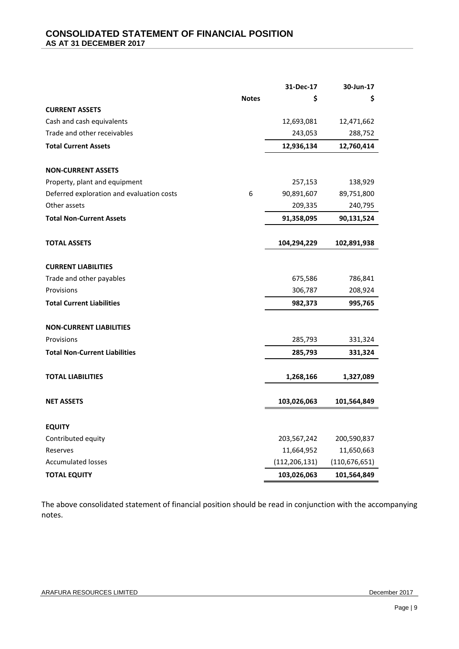|                                           |              | 31-Dec-17       | 30-Jun-17       |
|-------------------------------------------|--------------|-----------------|-----------------|
|                                           | <b>Notes</b> | \$              | \$              |
| <b>CURRENT ASSETS</b>                     |              |                 |                 |
| Cash and cash equivalents                 |              | 12,693,081      | 12,471,662      |
| Trade and other receivables               |              | 243,053         | 288,752         |
| <b>Total Current Assets</b>               |              | 12,936,134      | 12,760,414      |
|                                           |              |                 |                 |
| <b>NON-CURRENT ASSETS</b>                 |              |                 |                 |
| Property, plant and equipment             |              | 257,153         | 138,929         |
| Deferred exploration and evaluation costs | 6            | 90,891,607      | 89,751,800      |
| Other assets                              |              | 209,335         | 240,795         |
| <b>Total Non-Current Assets</b>           |              | 91,358,095      | 90,131,524      |
| <b>TOTAL ASSETS</b>                       |              | 104,294,229     | 102,891,938     |
|                                           |              |                 |                 |
| <b>CURRENT LIABILITIES</b>                |              |                 |                 |
| Trade and other payables                  |              | 675,586         | 786,841         |
| Provisions                                |              | 306,787         | 208,924         |
| <b>Total Current Liabilities</b>          |              | 982,373         | 995,765         |
| <b>NON-CURRENT LIABILITIES</b>            |              |                 |                 |
| Provisions                                |              | 285,793         | 331,324         |
| <b>Total Non-Current Liabilities</b>      |              | 285,793         | 331,324         |
| <b>TOTAL LIABILITIES</b>                  |              | 1,268,166       | 1,327,089       |
| <b>NET ASSETS</b>                         |              | 103,026,063     | 101,564,849     |
| <b>EQUITY</b>                             |              |                 |                 |
| Contributed equity                        |              | 203,567,242     | 200,590,837     |
| Reserves                                  |              | 11,664,952      | 11,650,663      |
| <b>Accumulated losses</b>                 |              | (112, 206, 131) | (110, 676, 651) |
| <b>TOTAL EQUITY</b>                       |              | 103,026,063     | 101,564,849     |

The above consolidated statement of financial position should be read in conjunction with the accompanying notes.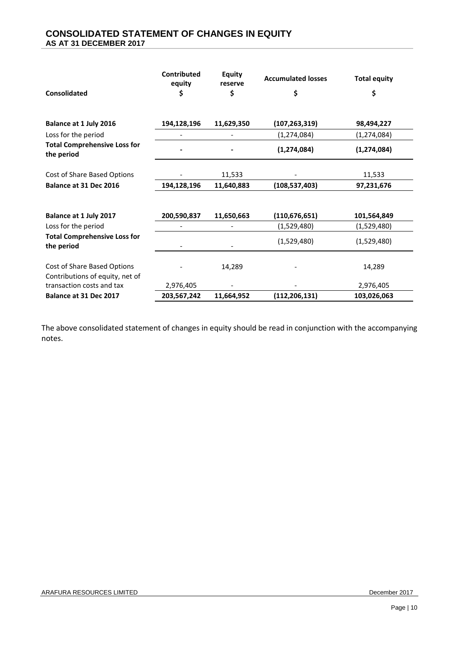# **CONSOLIDATED STATEMENT OF CHANGES IN EQUITY AS AT 31 DECEMBER 2017**

|                                                                | Contributed<br>equity | <b>Equity</b><br>reserve | <b>Accumulated losses</b> | <b>Total equity</b> |
|----------------------------------------------------------------|-----------------------|--------------------------|---------------------------|---------------------|
| <b>Consolidated</b>                                            | \$                    | \$                       | \$                        | \$                  |
| Balance at 1 July 2016                                         | 194,128,196           | 11,629,350               | (107, 263, 319)           | 98,494,227          |
| Loss for the period                                            |                       |                          | (1, 274, 084)             | (1, 274, 084)       |
| <b>Total Comprehensive Loss for</b><br>the period              |                       |                          | (1, 274, 084)             | (1, 274, 084)       |
| Cost of Share Based Options                                    |                       | 11,533                   |                           | 11,533              |
| Balance at 31 Dec 2016                                         | 194,128,196           | 11,640,883               | (108, 537, 403)           | 97,231,676          |
|                                                                |                       |                          |                           |                     |
| Balance at 1 July 2017                                         | 200,590,837           | 11,650,663               | (110, 676, 651)           | 101,564,849         |
| Loss for the period                                            |                       |                          | (1,529,480)               | (1,529,480)         |
| <b>Total Comprehensive Loss for</b><br>the period              |                       |                          | (1,529,480)               | (1,529,480)         |
| Cost of Share Based Options<br>Contributions of equity, net of |                       | 14,289                   |                           | 14,289              |
| transaction costs and tax                                      | 2,976,405             |                          |                           | 2,976,405           |
| Balance at 31 Dec 2017                                         | 203,567,242           | 11,664,952               | (112, 206, 131)           | 103,026,063         |

The above consolidated statement of changes in equity should be read in conjunction with the accompanying notes.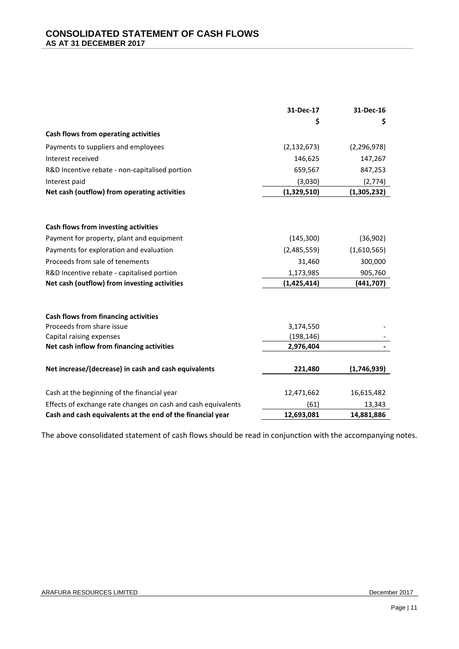|                                                               | 31-Dec-17     | 31-Dec-16     |
|---------------------------------------------------------------|---------------|---------------|
|                                                               | \$            | \$            |
| Cash flows from operating activities                          |               |               |
| Payments to suppliers and employees                           | (2, 132, 673) | (2, 296, 978) |
| Interest received                                             | 146,625       | 147,267       |
| R&D Incentive rebate - non-capitalised portion                | 659,567       | 847,253       |
| Interest paid                                                 | (3,030)       | (2,774)       |
| Net cash (outflow) from operating activities                  | (1,329,510)   | (1,305,232)   |
|                                                               |               |               |
|                                                               |               |               |
| Cash flows from investing activities                          |               |               |
| Payment for property, plant and equipment                     | (145, 300)    | (36,902)      |
| Payments for exploration and evaluation                       | (2,485,559)   | (1,610,565)   |
| Proceeds from sale of tenements                               | 31,460        | 300,000       |
| R&D Incentive rebate - capitalised portion                    | 1,173,985     | 905,760       |
| Net cash (outflow) from investing activities                  | (1,425,414)   | (441,707)     |
|                                                               |               |               |
| Cash flows from financing activities                          |               |               |
| Proceeds from share issue                                     | 3,174,550     |               |
| Capital raising expenses                                      | (198, 146)    |               |
| Net cash inflow from financing activities                     | 2,976,404     |               |
| Net increase/(decrease) in cash and cash equivalents          | 221,480       | (1,746,939)   |
|                                                               |               |               |
| Cash at the beginning of the financial year                   | 12,471,662    | 16,615,482    |
| Effects of exchange rate changes on cash and cash equivalents | (61)          | 13,343        |
| Cash and cash equivalents at the end of the financial year    | 12,693,081    | 14,881,886    |

The above consolidated statement of cash flows should be read in conjunction with the accompanying notes.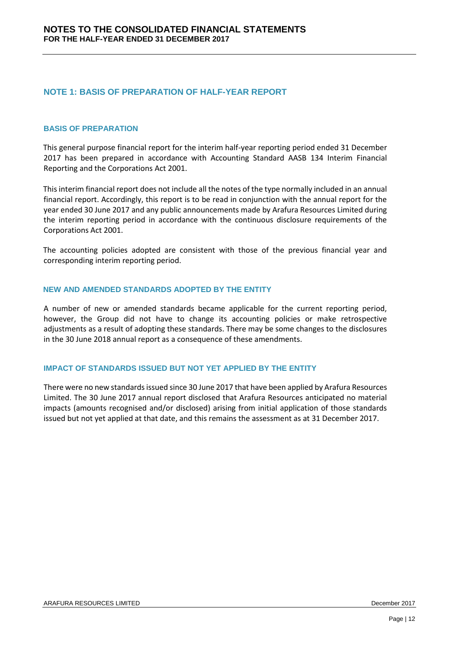# **NOTE 1: BASIS OF PREPARATION OF HALF-YEAR REPORT**

#### **BASIS OF PREPARATION**

This general purpose financial report for the interim half-year reporting period ended 31 December 2017 has been prepared in accordance with Accounting Standard AASB 134 Interim Financial Reporting and the Corporations Act 2001.

This interim financial report does not include all the notes of the type normally included in an annual financial report. Accordingly, this report is to be read in conjunction with the annual report for the year ended 30 June 2017 and any public announcements made by Arafura Resources Limited during the interim reporting period in accordance with the continuous disclosure requirements of the Corporations Act 2001.

The accounting policies adopted are consistent with those of the previous financial year and corresponding interim reporting period.

#### **NEW AND AMENDED STANDARDS ADOPTED BY THE ENTITY**

A number of new or amended standards became applicable for the current reporting period, however, the Group did not have to change its accounting policies or make retrospective adjustments as a result of adopting these standards. There may be some changes to the disclosures in the 30 June 2018 annual report as a consequence of these amendments.

#### **IMPACT OF STANDARDS ISSUED BUT NOT YET APPLIED BY THE ENTITY**

There were no new standards issued since 30 June 2017 that have been applied by Arafura Resources Limited. The 30 June 2017 annual report disclosed that Arafura Resources anticipated no material impacts (amounts recognised and/or disclosed) arising from initial application of those standards issued but not yet applied at that date, and this remains the assessment as at 31 December 2017.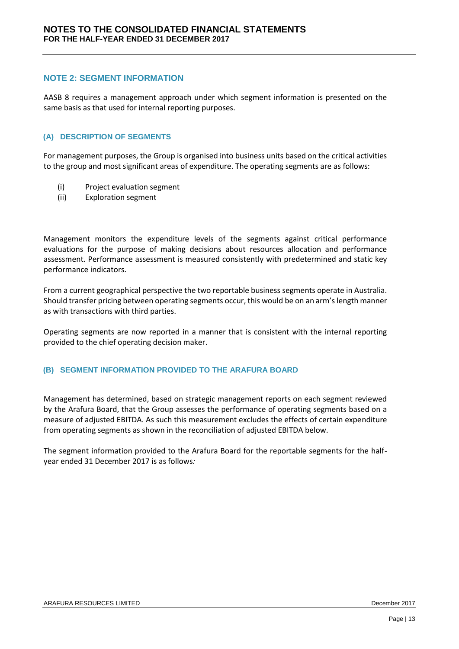## **NOTE 2: SEGMENT INFORMATION**

AASB 8 requires a management approach under which segment information is presented on the same basis as that used for internal reporting purposes.

#### **(A) DESCRIPTION OF SEGMENTS**

For management purposes, the Group is organised into business units based on the critical activities to the group and most significant areas of expenditure. The operating segments are as follows:

- (i) Project evaluation segment
- (ii) Exploration segment

Management monitors the expenditure levels of the segments against critical performance evaluations for the purpose of making decisions about resources allocation and performance assessment. Performance assessment is measured consistently with predetermined and static key performance indicators.

From a current geographical perspective the two reportable business segments operate in Australia. Should transfer pricing between operating segments occur, this would be on an arm's length manner as with transactions with third parties.

Operating segments are now reported in a manner that is consistent with the internal reporting provided to the chief operating decision maker.

#### **(B) SEGMENT INFORMATION PROVIDED TO THE ARAFURA BOARD**

Management has determined, based on strategic management reports on each segment reviewed by the Arafura Board, that the Group assesses the performance of operating segments based on a measure of adjusted EBITDA. As such this measurement excludes the effects of certain expenditure from operating segments as shown in the reconciliation of adjusted EBITDA below.

The segment information provided to the Arafura Board for the reportable segments for the halfyear ended 31 December 2017 is as follows*:*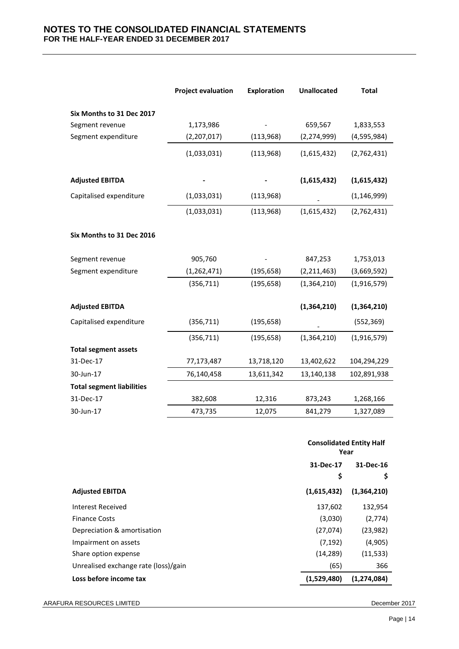## **NOTES TO THE CONSOLIDATED FINANCIAL STATEMENTS FOR THE HALF-YEAR ENDED 31 DECEMBER 2017**

|                                  | <b>Project evaluation</b> | <b>Exploration</b> | <b>Unallocated</b> | <b>Total</b>  |
|----------------------------------|---------------------------|--------------------|--------------------|---------------|
| Six Months to 31 Dec 2017        |                           |                    |                    |               |
| Segment revenue                  | 1,173,986                 |                    | 659,567            | 1,833,553     |
| Segment expenditure              | (2,207,017)               | (113,968)          | (2, 274, 999)      | (4,595,984)   |
|                                  | (1,033,031)               | (113,968)          | (1,615,432)        | (2,762,431)   |
| <b>Adjusted EBITDA</b>           |                           |                    | (1,615,432)        | (1,615,432)   |
| Capitalised expenditure          | (1,033,031)               | (113,968)          |                    | (1, 146, 999) |
|                                  | (1,033,031)               | (113,968)          | (1,615,432)        | (2,762,431)   |
| Six Months to 31 Dec 2016        |                           |                    |                    |               |
| Segment revenue                  | 905,760                   |                    | 847,253            | 1,753,013     |
| Segment expenditure              | (1, 262, 471)             | (195, 658)         | (2, 211, 463)      | (3,669,592)   |
|                                  | (356, 711)                | (195, 658)         | (1, 364, 210)      | (1,916,579)   |
| <b>Adjusted EBITDA</b>           |                           |                    | (1,364,210)        | (1,364,210)   |
| Capitalised expenditure          | (356, 711)                | (195, 658)         |                    | (552, 369)    |
|                                  | (356, 711)                | (195, 658)         | (1,364,210)        | (1,916,579)   |
| <b>Total segment assets</b>      |                           |                    |                    |               |
| 31-Dec-17                        | 77,173,487                | 13,718,120         | 13,402,622         | 104,294,229   |
| 30-Jun-17                        | 76,140,458                | 13,611,342         | 13,140,138         | 102,891,938   |
| <b>Total segment liabilities</b> |                           |                    |                    |               |
| 31-Dec-17                        | 382,608                   | 12,316             | 873,243            | 1,268,166     |
| 30-Jun-17                        | 473,735                   | 12,075             | 841,279            | 1,327,089     |

|                                      |             | <b>Consolidated Entity Half</b><br>Year |  |  |
|--------------------------------------|-------------|-----------------------------------------|--|--|
|                                      | 31-Dec-17   | 31-Dec-16                               |  |  |
|                                      | \$          | \$                                      |  |  |
| <b>Adjusted EBITDA</b>               | (1,615,432) | (1,364,210)                             |  |  |
| Interest Received                    | 137,602     | 132,954                                 |  |  |
| <b>Finance Costs</b>                 | (3,030)     | (2,774)                                 |  |  |
| Depreciation & amortisation          | (27,074)    | (23, 982)                               |  |  |
| Impairment on assets                 | (7, 192)    | (4,905)                                 |  |  |
| Share option expense                 | (14, 289)   | (11, 533)                               |  |  |
| Unrealised exchange rate (loss)/gain | (65)        | 366                                     |  |  |
| Loss before income tax               | (1,529,480) | (1,274,084)                             |  |  |
|                                      |             |                                         |  |  |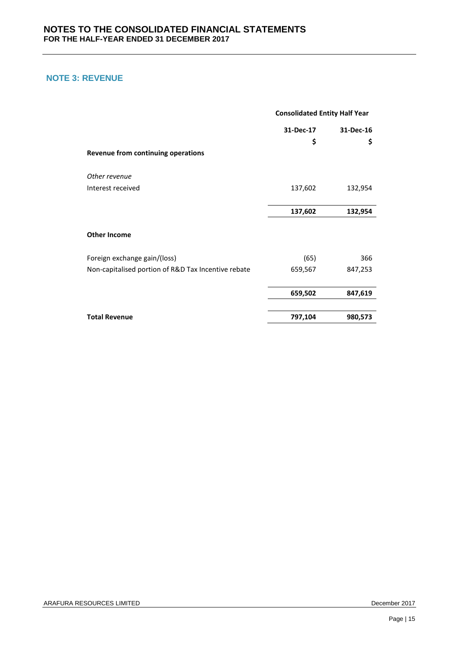# **NOTE 3: REVENUE**

|                                                     | <b>Consolidated Entity Half Year</b> |           |  |
|-----------------------------------------------------|--------------------------------------|-----------|--|
|                                                     | 31-Dec-17                            | 31-Dec-16 |  |
|                                                     | \$                                   | \$        |  |
| Revenue from continuing operations                  |                                      |           |  |
| Other revenue                                       |                                      |           |  |
| Interest received                                   | 137,602                              | 132,954   |  |
|                                                     |                                      |           |  |
|                                                     | 137,602                              | 132,954   |  |
| <b>Other Income</b>                                 |                                      |           |  |
| Foreign exchange gain/(loss)                        | (65)                                 | 366       |  |
| Non-capitalised portion of R&D Tax Incentive rebate | 659,567                              | 847,253   |  |
|                                                     | 659,502                              | 847,619   |  |
| <b>Total Revenue</b>                                | 797,104                              | 980,573   |  |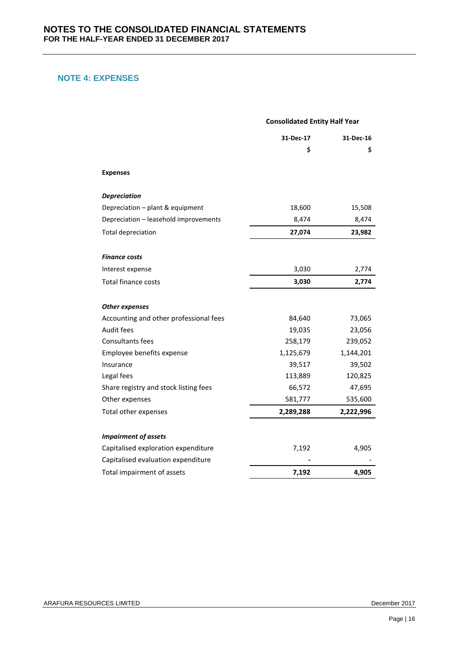# **NOTE 4: EXPENSES**

|                                        | <b>Consolidated Entity Half Year</b> |           |  |
|----------------------------------------|--------------------------------------|-----------|--|
|                                        | 31-Dec-17                            | 31-Dec-16 |  |
|                                        | \$                                   | \$        |  |
| <b>Expenses</b>                        |                                      |           |  |
| <b>Depreciation</b>                    |                                      |           |  |
| Depreciation - plant & equipment       | 18,600                               | 15,508    |  |
| Depreciation - leasehold improvements  | 8,474                                | 8,474     |  |
| <b>Total depreciation</b>              | 27,074                               | 23,982    |  |
| Finance costs                          |                                      |           |  |
| Interest expense                       | 3,030                                | 2,774     |  |
| <b>Total finance costs</b>             | 3,030                                | 2,774     |  |
| <b>Other expenses</b>                  |                                      |           |  |
| Accounting and other professional fees | 84,640                               | 73,065    |  |
| Audit fees                             | 19,035                               | 23,056    |  |
| <b>Consultants fees</b>                | 258,179                              | 239,052   |  |
| Employee benefits expense              | 1,125,679                            | 1,144,201 |  |
| Insurance                              | 39,517                               | 39,502    |  |
| Legal fees                             | 113,889                              | 120,825   |  |
| Share registry and stock listing fees  | 66,572                               | 47,695    |  |
| Other expenses                         | 581,777                              | 535,600   |  |
| Total other expenses                   | 2,289,288                            | 2,222,996 |  |
| <b>Impairment of assets</b>            |                                      |           |  |
| Capitalised exploration expenditure    | 7,192                                | 4,905     |  |
| Capitalised evaluation expenditure     |                                      |           |  |
| Total impairment of assets             | 7,192                                | 4,905     |  |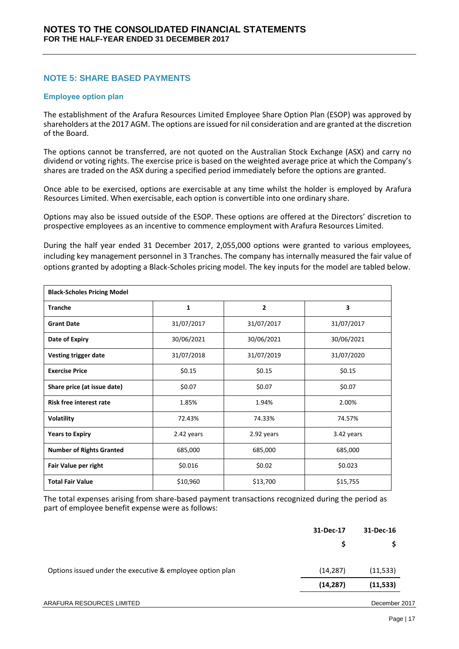# **NOTE 5: SHARE BASED PAYMENTS**

#### **Employee option plan**

The establishment of the Arafura Resources Limited Employee Share Option Plan (ESOP) was approved by shareholders at the 2017 AGM. The options are issued for nil consideration and are granted at the discretion of the Board.

The options cannot be transferred, are not quoted on the Australian Stock Exchange (ASX) and carry no dividend or voting rights. The exercise price is based on the weighted average price at which the Company's shares are traded on the ASX during a specified period immediately before the options are granted.

Once able to be exercised, options are exercisable at any time whilst the holder is employed by Arafura Resources Limited. When exercisable, each option is convertible into one ordinary share.

Options may also be issued outside of the ESOP. These options are offered at the Directors' discretion to prospective employees as an incentive to commence employment with Arafura Resources Limited.

During the half year ended 31 December 2017, 2,055,000 options were granted to various employees, including key management personnel in 3 Tranches. The company has internally measured the fair value of options granted by adopting a Black-Scholes pricing model. The key inputs for the model are tabled below.

| <b>Black-Scholes Pricing Model</b> |            |                |            |  |
|------------------------------------|------------|----------------|------------|--|
| <b>Tranche</b>                     | 1          | $\overline{2}$ | 3          |  |
| <b>Grant Date</b>                  | 31/07/2017 | 31/07/2017     | 31/07/2017 |  |
| Date of Expiry                     | 30/06/2021 | 30/06/2021     | 30/06/2021 |  |
| Vesting trigger date               | 31/07/2018 | 31/07/2019     | 31/07/2020 |  |
| <b>Exercise Price</b>              | \$0.15     | \$0.15         | \$0.15     |  |
| Share price (at issue date)        | \$0.07     | \$0.07         | \$0.07     |  |
| <b>Risk free interest rate</b>     | 1.85%      | 1.94%          | 2.00%      |  |
| <b>Volatility</b>                  | 72.43%     | 74.33%         | 74.57%     |  |
| <b>Years to Expiry</b>             | 2.42 years | 2.92 years     | 3.42 years |  |
| <b>Number of Rights Granted</b>    | 685,000    | 685,000        | 685,000    |  |
| Fair Value per right               | \$0.016    | \$0.02         | \$0.023    |  |
| <b>Total Fair Value</b>            | \$10,960   | \$13,700       | \$15,755   |  |

The total expenses arising from share-based payment transactions recognized during the period as part of employee benefit expense were as follows:

|                                                           | 31-Dec-17 | 31-Dec-16 |
|-----------------------------------------------------------|-----------|-----------|
|                                                           | S         |           |
| Options issued under the executive & employee option plan | (14, 287) | (11, 533) |
|                                                           | (14, 287) | (11, 533) |
|                                                           |           |           |

#### ARAFURA RESOURCES LIMITED December 2017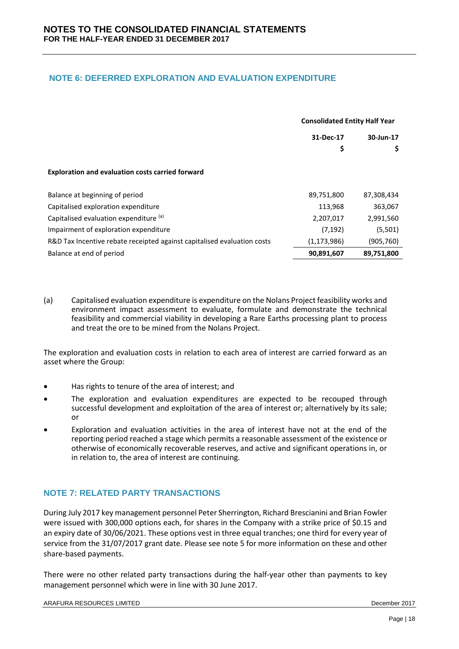# **NOTE 6: DEFERRED EXPLORATION AND EVALUATION EXPENDITURE**

|                                                                         | <b>Consolidated Entity Half Year</b> |            |
|-------------------------------------------------------------------------|--------------------------------------|------------|
|                                                                         | 31-Dec-17                            | 30-Jun-17  |
|                                                                         | \$                                   | \$         |
| <b>Exploration and evaluation costs carried forward</b>                 |                                      |            |
| Balance at beginning of period                                          | 89,751,800                           | 87,308,434 |
| Capitalised exploration expenditure                                     | 113,968                              | 363,067    |
| Capitalised evaluation expenditure (a)                                  | 2,207,017                            | 2,991,560  |
| Impairment of exploration expenditure                                   | (7, 192)                             | (5,501)    |
| R&D Tax Incentive rebate receipted against capitalised evaluation costs | (1, 173, 986)                        | (905, 760) |
| Balance at end of period                                                | 90,891,607                           | 89,751,800 |

(a) Capitalised evaluation expenditure is expenditure on the Nolans Project feasibility works and environment impact assessment to evaluate, formulate and demonstrate the technical feasibility and commercial viability in developing a Rare Earths processing plant to process and treat the ore to be mined from the Nolans Project.

The exploration and evaluation costs in relation to each area of interest are carried forward as an asset where the Group:

- Has rights to tenure of the area of interest; and
- The exploration and evaluation expenditures are expected to be recouped through successful development and exploitation of the area of interest or; alternatively by its sale; or
- Exploration and evaluation activities in the area of interest have not at the end of the reporting period reached a stage which permits a reasonable assessment of the existence or otherwise of economically recoverable reserves, and active and significant operations in, or in relation to, the area of interest are continuing.

# **NOTE 7: RELATED PARTY TRANSACTIONS**

During July 2017 key management personnel Peter Sherrington, Richard Brescianini and Brian Fowler were issued with 300,000 options each, for shares in the Company with a strike price of \$0.15 and an expiry date of 30/06/2021. These options vest in three equal tranches; one third for every year of service from the 31/07/2017 grant date. Please see note 5 for more information on these and other share-based payments.

There were no other related party transactions during the half-year other than payments to key management personnel which were in line with 30 June 2017.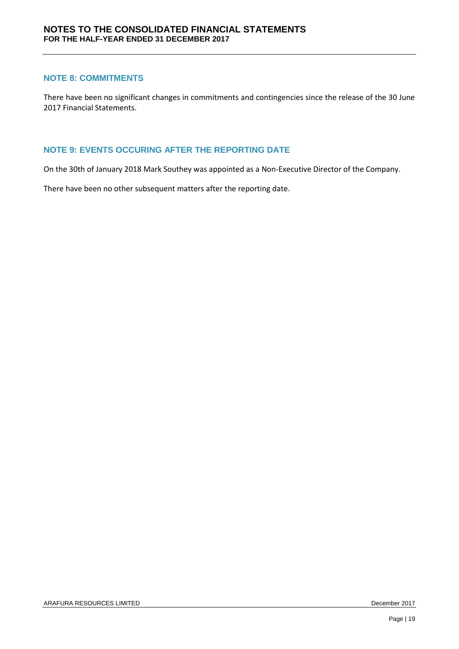## **NOTE 8: COMMITMENTS**

There have been no significant changes in commitments and contingencies since the release of the 30 June 2017 Financial Statements.

## **NOTE 9: EVENTS OCCURING AFTER THE REPORTING DATE**

On the 30th of January 2018 Mark Southey was appointed as a Non-Executive Director of the Company.

There have been no other subsequent matters after the reporting date.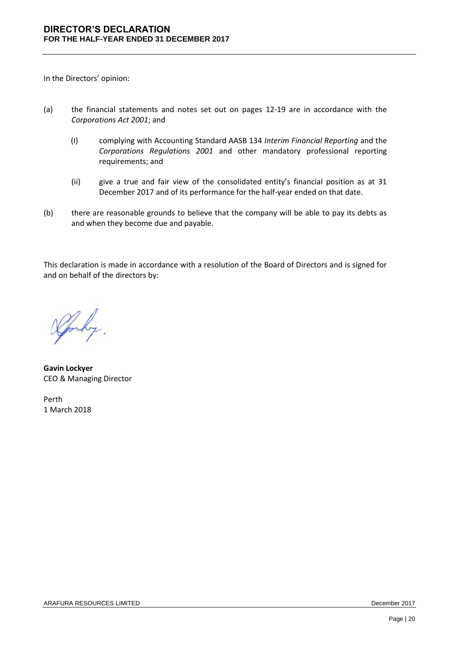In the Directors' opinion:

- (a) the financial statements and notes set out on pages 12-19 are in accordance with the *Corporations Act 2001*; and
	- (I) complying with Accounting Standard AASB 134 *Interim Financial Reporting* and the *Corporations Regulations 2001* and other mandatory professional reporting requirements; and
	- (ii) give a true and fair view of the consolidated entity's financial position as at 31 December 2017 and of its performance for the half-year ended on that date.
- (b) there are reasonable grounds to believe that the company will be able to pay its debts as and when they become due and payable.

This declaration is made in accordance with a resolution of the Board of Directors and is signed for and on behalf of the directors by:

Sporky.

**Gavin Lockyer** CEO & Managing Director

Perth 1 March 2018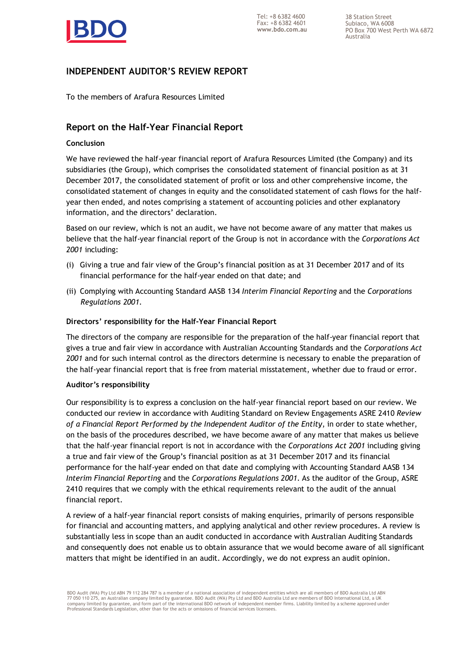

38 Station Street Subiaco, WA 6008 PO Box 700 West Perth WA 6872 Australia

# **INDEPENDENT AUDITOR'S REVIEW REPORT**

To the members of Arafura Resources Limited

# **Report on the Half-Year Financial Report**

#### **Conclusion**

We have reviewed the half-year financial report of Arafura Resources Limited (the Company) and its subsidiaries (the Group), which comprises the consolidated statement of financial position as at 31 December 2017, the consolidated statement of profit or loss and other comprehensive income, the consolidated statement of changes in equity and the consolidated statement of cash flows for the halfyear then ended, and notes comprising a statement of accounting policies and other explanatory information, and the directors' declaration.

Based on our review, which is not an audit, we have not become aware of any matter that makes us believe that the half-year financial report of the Group is not in accordance with the *Corporations Act 2001* including:

- (i) Giving a true and fair view of the Group's financial position as at 31 December 2017 and of its financial performance for the half-year ended on that date; and
- (ii) Complying with Accounting Standard AASB 134 *Interim Financial Reporting* and the *Corporations Regulations 2001.*

#### **Directors' responsibility for the Half-Year Financial Report**

The directors of the company are responsible for the preparation of the half-year financial report that gives a true and fair view in accordance with Australian Accounting Standards and the *Corporations Act 2001* and for such internal control as the directors determine is necessary to enable the preparation of the half-year financial report that is free from material misstatement, whether due to fraud or error.

#### **Auditor's responsibility**

Our responsibility is to express a conclusion on the half-year financial report based on our review. We conducted our review in accordance with Auditing Standard on Review Engagements ASRE 2410 *Review of a Financial Report Performed by the Independent Auditor of the Entity*, in order to state whether, on the basis of the procedures described, we have become aware of any matter that makes us believe that the half-year financial report is not in accordance with the *Corporations Act 2001* including giving a true and fair view of the Group's financial position as at 31 December 2017 and its financial performance for the half-year ended on that date and complying with Accounting Standard AASB 134 *Interim Financial Reporting* and the *Corporations Regulations 2001*. As the auditor of the Group, ASRE 2410 requires that we comply with the ethical requirements relevant to the audit of the annual financial report.

A review of a half-year financial report consists of making enquiries, primarily of persons responsible for financial and accounting matters, and applying analytical and other review procedures. A review is substantially less in scope than an audit conducted in accordance with Australian Auditing Standards and consequently does not enable us to obtain assurance that we would become aware of all significant matters that might be identified in an audit. Accordingly, we do not express an audit opinion.

BDO Audit (WA) Pty Ltd ABN 79 112 284 787 is a member of a national association of independent entities which are all members of BDO Australia Ltd ABN 77 050 110 275, an Australian company limited by guarantee. BDO Audit (WA) Pty Ltd and BDO Australia Ltd are members of BDO International Ltd, a UK company limited by guarantee, and form part of the international BDO network of independent member firms. Liability limited by a scheme approved under Professional Standards Legislation, other than for the acts or omissions of financial services licensees.